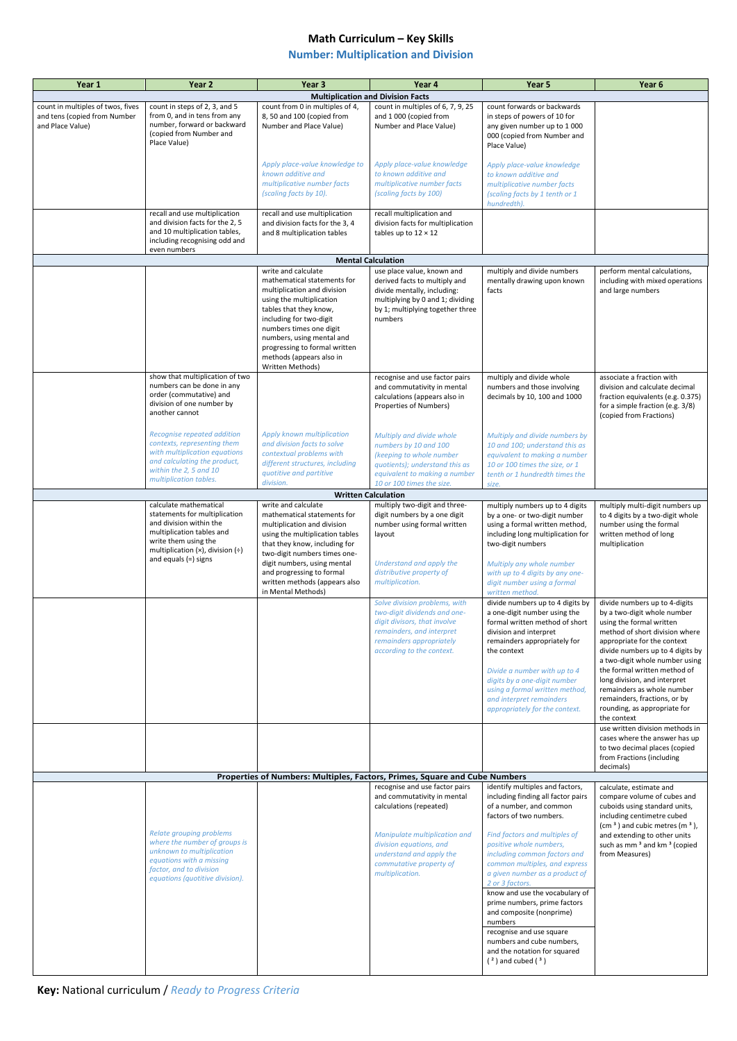## **Math Curriculum – Key Skills**

## **Number: Multiplication and Division**

**Key:** National curriculum / *Ready to Progress Criteria*

| Year 1                                                                                                                                                                     | Year 2                                                                                                                                                                                 | Year <sub>3</sub>                                                                                                                                                                                                                                                                                           | Year 4                                                                                                                                                                              | Year 5                                                                                                                                                                               | Year 6                                                                                                                                                                                                                                   |  |  |  |
|----------------------------------------------------------------------------------------------------------------------------------------------------------------------------|----------------------------------------------------------------------------------------------------------------------------------------------------------------------------------------|-------------------------------------------------------------------------------------------------------------------------------------------------------------------------------------------------------------------------------------------------------------------------------------------------------------|-------------------------------------------------------------------------------------------------------------------------------------------------------------------------------------|--------------------------------------------------------------------------------------------------------------------------------------------------------------------------------------|------------------------------------------------------------------------------------------------------------------------------------------------------------------------------------------------------------------------------------------|--|--|--|
|                                                                                                                                                                            |                                                                                                                                                                                        |                                                                                                                                                                                                                                                                                                             | <b>Multiplication and Division Facts</b>                                                                                                                                            |                                                                                                                                                                                      |                                                                                                                                                                                                                                          |  |  |  |
| count in multiples of twos, fives<br>and tens (copied from Number<br>and Place Value)                                                                                      | count in steps of 2, 3, and 5<br>from 0, and in tens from any<br>number, forward or backward<br>(copied from Number and<br>Place Value)                                                | count from 0 in multiples of 4,<br>8, 50 and 100 (copied from<br>Number and Place Value)                                                                                                                                                                                                                    | count in multiples of 6, 7, 9, 25<br>and 1 000 (copied from<br>Number and Place Value)                                                                                              | count forwards or backwards<br>in steps of powers of 10 for<br>any given number up to 1000<br>000 (copied from Number and<br>Place Value)                                            |                                                                                                                                                                                                                                          |  |  |  |
|                                                                                                                                                                            |                                                                                                                                                                                        | Apply place-value knowledge to<br>known additive and<br>multiplicative number facts<br>(scaling facts by 10).                                                                                                                                                                                               | Apply place-value knowledge<br>to known additive and<br>multiplicative number facts<br>(scaling facts by 100)                                                                       | Apply place-value knowledge<br>to known additive and<br>multiplicative number facts<br>(scaling facts by 1 tenth or 1<br>hundredth).                                                 |                                                                                                                                                                                                                                          |  |  |  |
|                                                                                                                                                                            | recall and use multiplication<br>and division facts for the 2, 5<br>and 10 multiplication tables,<br>including recognising odd and<br>even numbers                                     | recall and use multiplication<br>and division facts for the 3, 4<br>and 8 multiplication tables                                                                                                                                                                                                             | recall multiplication and<br>division facts for multiplication<br>tables up to $12 \times 12$                                                                                       |                                                                                                                                                                                      |                                                                                                                                                                                                                                          |  |  |  |
|                                                                                                                                                                            |                                                                                                                                                                                        | <b>Mental Calculation</b>                                                                                                                                                                                                                                                                                   |                                                                                                                                                                                     |                                                                                                                                                                                      |                                                                                                                                                                                                                                          |  |  |  |
|                                                                                                                                                                            |                                                                                                                                                                                        | write and calculate<br>mathematical statements for<br>multiplication and division<br>using the multiplication<br>tables that they know,<br>including for two-digit<br>numbers times one digit<br>numbers, using mental and<br>progressing to formal written<br>methods (appears also in<br>Written Methods) | use place value, known and<br>derived facts to multiply and<br>divide mentally, including:<br>multiplying by 0 and 1; dividing<br>by 1; multiplying together three<br>numbers       | multiply and divide numbers<br>mentally drawing upon known<br>facts                                                                                                                  | perform mental calculations,<br>including with mixed operations<br>and large numbers                                                                                                                                                     |  |  |  |
|                                                                                                                                                                            | show that multiplication of two<br>numbers can be done in any<br>order (commutative) and<br>division of one number by<br>another cannot                                                |                                                                                                                                                                                                                                                                                                             | recognise and use factor pairs<br>and commutativity in mental<br>calculations (appears also in<br>Properties of Numbers)                                                            | multiply and divide whole<br>numbers and those involving<br>decimals by 10, 100 and 1000                                                                                             | associate a fraction with<br>division and calculate decimal<br>fraction equivalents (e.g. 0.375)<br>for a simple fraction (e.g. 3/8)<br>(copied from Fractions)                                                                          |  |  |  |
|                                                                                                                                                                            | <b>Recognise repeated addition</b><br>contexts, representing them<br>with multiplication equations<br>and calculating the product,<br>within the 2, 5 and 10<br>multiplication tables. | Apply known multiplication<br>and division facts to solve<br>contextual problems with<br>different structures, including<br>quotitive and partitive<br>division.<br><b>Written Calculation</b>                                                                                                              | Multiply and divide whole<br>numbers by 10 and 100<br>(keeping to whole number<br>quotients); understand this as<br>equivalent to making a number<br>10 or 100 times the size.      | Multiply and divide numbers by<br>10 and 100; understand this as<br>equivalent to making a number<br>10 or 100 times the size, or 1<br>tenth or 1 hundredth times the<br>size.       |                                                                                                                                                                                                                                          |  |  |  |
|                                                                                                                                                                            | calculate mathematical                                                                                                                                                                 | write and calculate                                                                                                                                                                                                                                                                                         | multiply two-digit and three-                                                                                                                                                       | multiply numbers up to 4 digits                                                                                                                                                      | multiply multi-digit numbers up                                                                                                                                                                                                          |  |  |  |
|                                                                                                                                                                            | statements for multiplication<br>and division within the<br>multiplication tables and<br>write them using the<br>multiplication $(x)$ , division $(\div)$<br>and equals $(=)$ signs    | mathematical statements for<br>multiplication and division<br>using the multiplication tables<br>that they know, including for<br>two-digit numbers times one-                                                                                                                                              | digit numbers by a one digit<br>number using formal written<br>layout                                                                                                               | by a one- or two-digit number<br>using a formal written method,<br>including long multiplication for<br>two-digit numbers                                                            | to 4 digits by a two-digit whole<br>number using the formal<br>written method of long<br>multiplication                                                                                                                                  |  |  |  |
|                                                                                                                                                                            |                                                                                                                                                                                        | digit numbers, using mental<br>and progressing to formal<br>written methods (appears also<br>in Mental Methods)                                                                                                                                                                                             | Understand and apply the<br>distributive property of<br>multiplication.                                                                                                             | Multiply any whole number<br>with up to 4 digits by any one-<br>digit number using a formal<br>written method.                                                                       |                                                                                                                                                                                                                                          |  |  |  |
|                                                                                                                                                                            |                                                                                                                                                                                        |                                                                                                                                                                                                                                                                                                             | Solve division problems, with<br>two-digit dividends and one-<br>digit divisors, that involve<br>remainders, and interpret<br>remainders appropriately<br>according to the context. | divide numbers up to 4 digits by<br>a one-digit number using the<br>formal written method of short<br>division and interpret<br>remainders appropriately for<br>the context          | divide numbers up to 4-digits<br>by a two-digit whole number<br>using the formal written<br>method of short division where<br>appropriate for the context<br>divide numbers up to 4 digits by<br>a two-digit whole number using          |  |  |  |
|                                                                                                                                                                            |                                                                                                                                                                                        |                                                                                                                                                                                                                                                                                                             |                                                                                                                                                                                     | Divide a number with up to 4<br>digits by a one-digit number<br>using a formal written method,<br>and interpret remainders<br>appropriately for the context.                         | the formal written method of<br>long division, and interpret<br>remainders as whole number<br>remainders, fractions, or by<br>rounding, as appropriate for<br>the context                                                                |  |  |  |
|                                                                                                                                                                            |                                                                                                                                                                                        |                                                                                                                                                                                                                                                                                                             |                                                                                                                                                                                     |                                                                                                                                                                                      | use written division methods in<br>cases where the answer has up<br>to two decimal places (copied<br>from Fractions (including<br>decimals)                                                                                              |  |  |  |
| Properties of Numbers: Multiples, Factors, Primes, Square and Cube Numbers<br>recognise and use factor pairs<br>identify multiples and factors,<br>calculate, estimate and |                                                                                                                                                                                        |                                                                                                                                                                                                                                                                                                             |                                                                                                                                                                                     |                                                                                                                                                                                      |                                                                                                                                                                                                                                          |  |  |  |
|                                                                                                                                                                            | <b>Relate grouping problems</b><br>where the number of groups is<br>unknown to multiplication<br>equations with a missing                                                              |                                                                                                                                                                                                                                                                                                             | and commutativity in mental<br>calculations (repeated)<br>Manipulate multiplication and<br>division equations, and<br>understand and apply the                                      | including finding all factor pairs<br>of a number, and common<br>factors of two numbers.<br>Find factors and multiples of<br>positive whole numbers,<br>including common factors and | compare volume of cubes and<br>cuboids using standard units,<br>including centimetre cubed<br>$(cm3)$ and cubic metres $(m3)$ ,<br>and extending to other units<br>such as mm <sup>3</sup> and km <sup>3</sup> (copied<br>from Measures) |  |  |  |
|                                                                                                                                                                            | factor, and to division<br>equations (quotitive division).                                                                                                                             |                                                                                                                                                                                                                                                                                                             | commutative property of<br>multiplication.                                                                                                                                          | common multiples, and express<br>a given number as a product of<br>2 or 3 factors.<br>know and use the vocabulary of<br>prime numbers, prime factors<br>and composite (nonprime)     |                                                                                                                                                                                                                                          |  |  |  |
|                                                                                                                                                                            |                                                                                                                                                                                        |                                                                                                                                                                                                                                                                                                             |                                                                                                                                                                                     | numbers<br>recognise and use square<br>numbers and cube numbers,<br>and the notation for squared<br>$(2)$ and cubed $(3)$                                                            |                                                                                                                                                                                                                                          |  |  |  |